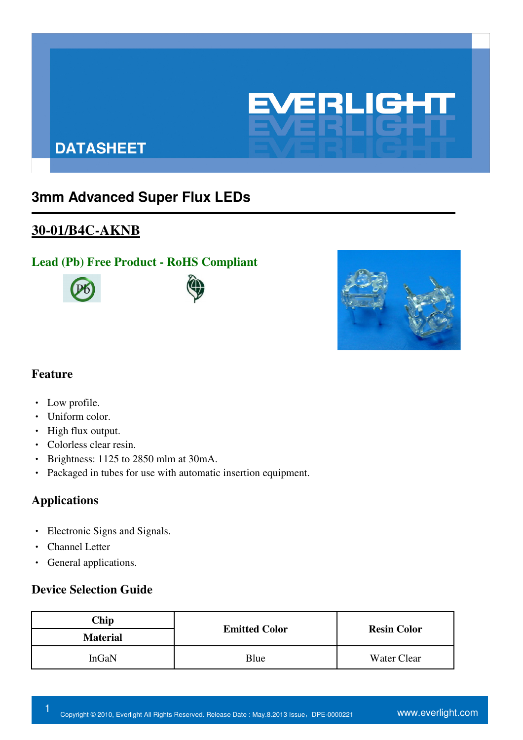

# **DATASHEET**

# **3mm Advanced Super Flux LEDs**

## **30-01/B4C-AKNB**

## **Lead (Pb) Free Product - RoHS Compliant**







#### **Feature**

- ‧ Low profile.
- Uniform color.
- High flux output.
- ‧ Colorless clear resin.
- ‧ Brightness: 1125 to 2850 mlm at 30mA.
- ‧ Packaged in tubes for use with automatic insertion equipment.

## **Applications**

- ‧ Electronic Signs and Signals.
- ‧ Channel Letter
- ‧ General applications.

#### **Device Selection Guide**

| Chip            | <b>Emitted Color</b> | <b>Resin Color</b> |  |
|-----------------|----------------------|--------------------|--|
| <b>Material</b> |                      |                    |  |
| InGaN           | Blue                 | Water Clear        |  |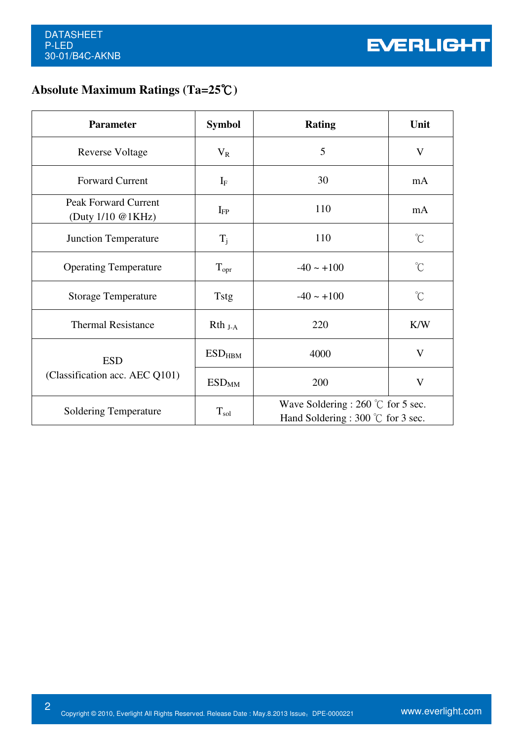# **Absolute Maximum Ratings (Ta=25℃)**

| <b>Parameter</b>                                 | <b>Symbol</b>                 | <b>Rating</b>                                                                     | Unit                 |
|--------------------------------------------------|-------------------------------|-----------------------------------------------------------------------------------|----------------------|
| <b>Reverse Voltage</b>                           | $V_R$                         | 5                                                                                 | V                    |
| <b>Forward Current</b>                           | $I_{\rm F}$                   | 30                                                                                | mA                   |
| <b>Peak Forward Current</b><br>(Duty 1/10 @1KHz) | $I_{FP}$                      | 110                                                                               | mA                   |
| <b>Junction Temperature</b>                      | $T_j$                         | 110                                                                               | $\mathrm{C}^{\circ}$ |
| <b>Operating Temperature</b>                     | $T_{\text{opr}}$              | $-40 \sim +100$                                                                   | $\int_{0}^{\infty}$  |
| <b>Storage Temperature</b>                       | <b>Tstg</b>                   | $-40 \sim +100$                                                                   | $^{\circ}$ C         |
| <b>Thermal Resistance</b>                        | $Rth_{J-A}$                   | 220                                                                               | K/W                  |
| <b>ESD</b>                                       | $\mathrm{ESD}_{\mathrm{HBM}}$ | 4000                                                                              | $\mathbf{V}$         |
| (Classification acc. AEC Q101)                   | <b>ESD<sub>MM</sub></b>       | 200                                                                               | $\mathbf{V}$         |
| <b>Soldering Temperature</b>                     | $T_{sol}$                     | Wave Soldering : 260 $\degree$ C for 5 sec.<br>Hand Soldering : 300 °C for 3 sec. |                      |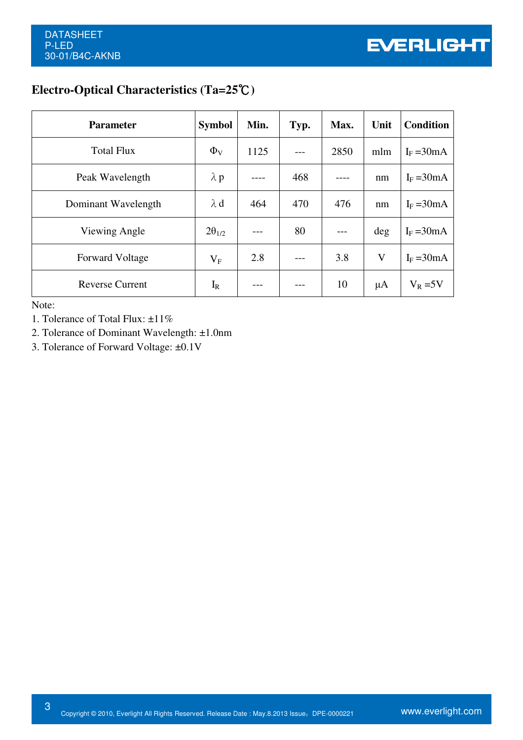## **Electro-Optical Characteristics (Ta=25 )** ℃

| <b>Parameter</b>                                                                                                                   | <b>Symbol</b>   | Min. | Typ. | Max. | Unit    | <b>Condition</b> |
|------------------------------------------------------------------------------------------------------------------------------------|-----------------|------|------|------|---------|------------------|
| <b>Total Flux</b>                                                                                                                  | $\Phi_{V}$      | 1125 |      | 2850 | mlm     | $I_F = 30mA$     |
| Peak Wavelength                                                                                                                    | $\lambda$ p     |      | 468  |      | nm      | $I_F = 30mA$     |
| Dominant Wavelength                                                                                                                | $\lambda$ d     | 464  | 470  | 476  | nm      | $I_F = 30mA$     |
| Viewing Angle                                                                                                                      | $2\theta_{1/2}$ |      | 80   |      | deg     | $I_F = 30mA$     |
| <b>Forward Voltage</b>                                                                                                             | $V_{F}$         | 2.8  |      | 3.8  | V       | $I_F = 30mA$     |
| <b>Reverse Current</b>                                                                                                             | $I_R$           |      |      | 10   | $\mu A$ | $V_R = 5V$       |
| Note:<br>1. Tolerance of Total Flux: ±11%<br>2. Tolerance of Dominant Wavelength: ±1.0nm<br>3. Tolerance of Forward Voltage: ±0.1V |                 |      |      |      |         |                  |

- 1. Tolerance of Total Flux: ±11%
- 2. Tolerance of Dominant Wavelength: ±1.0nm
- 3. Tolerance of Forward Voltage: ±0.1V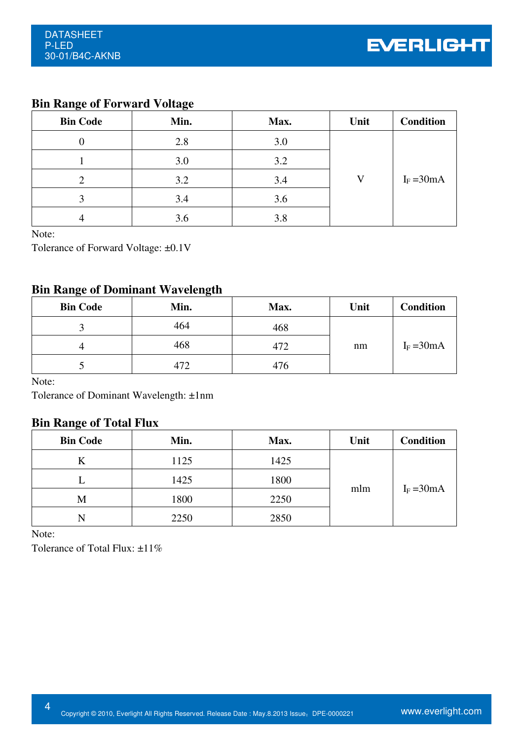## **Bin Range of Forward Voltage**

| <b>Bin Code</b> | Min. | Max. | Unit | <b>Condition</b> |
|-----------------|------|------|------|------------------|
|                 | 2.8  | 3.0  |      |                  |
|                 | 3.0  | 3.2  |      |                  |
|                 | 3.2  | 3.4  | V    | $I_F = 30mA$     |
| 3               | 3.4  | 3.6  |      |                  |
| 4               | 3.6  | 3.8  |      |                  |

Note:

Tolerance of Forward Voltage: ±0.1V

### **Bin Range of Dominant Wavelength**

| <b>Bin Code</b> | Min. | Max. | Unit | <b>Condition</b> |
|-----------------|------|------|------|------------------|
|                 | 464  | 468  |      |                  |
|                 | 468  | 472  | nm   | $I_F = 30mA$     |
|                 | 472  | 476  |      |                  |

Note:

Tolerance of Dominant Wavelength: ±1nm

### **Bin Range of Total Flux**

| <b>Bin Code</b> | Min. | Max. | Unit | <b>Condition</b> |
|-----------------|------|------|------|------------------|
| K               | 1125 | 1425 |      |                  |
|                 | 1425 | 1800 |      |                  |
| M               | 1800 | 2250 | mlm  | $I_F = 30mA$     |
| N               | 2250 | 2850 |      |                  |

Note:

Tolerance of Total Flux: ±11%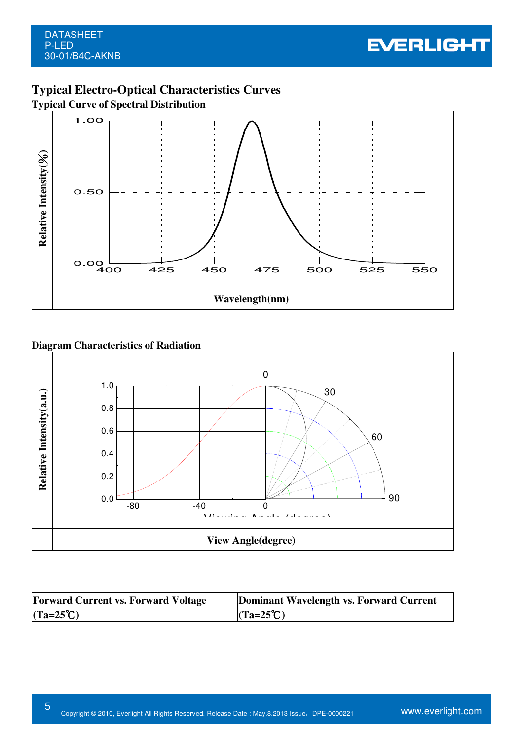

## **Typical Electro-Optical Characteristics Curves**

**Typical Curve of Spectral Distribution**





| <b>Forward Current vs. Forward Voltage</b> | Dominant Wavelength vs. Forward Current |
|--------------------------------------------|-----------------------------------------|
| $(Ta=25^{\circ}C)$                         | $(Ta=25^{\circ}C)$                      |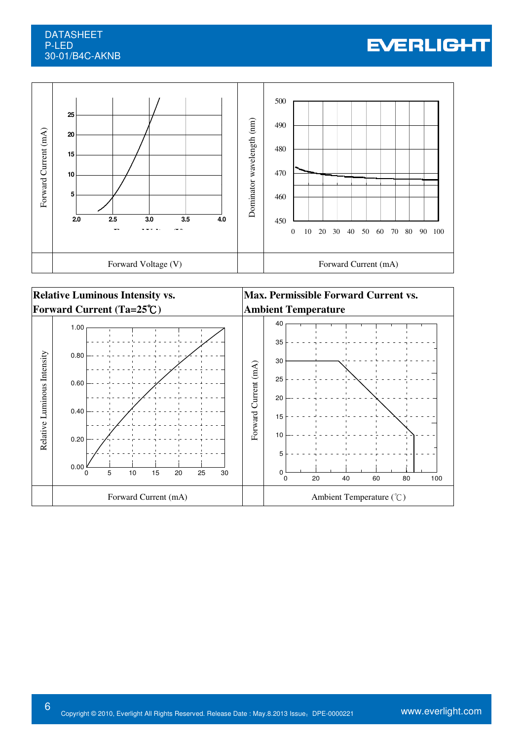#### DATASHEET P-LED 30-01/B4C-AKNB

# **EVERLIGHT**





6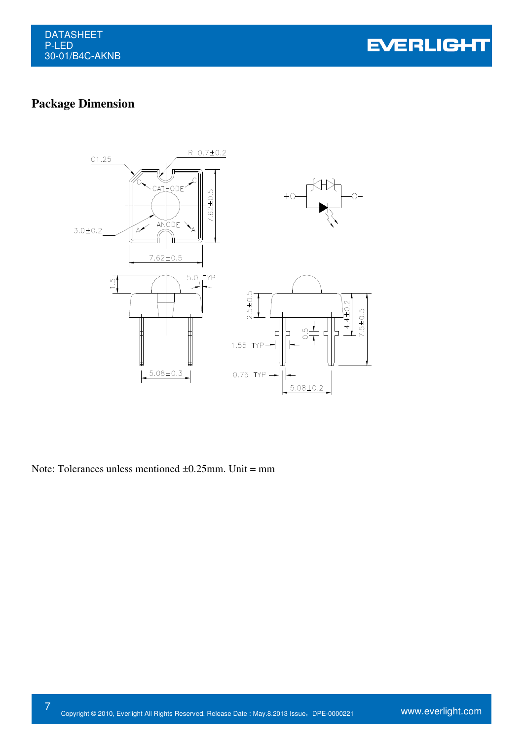**EVERLIGHT** 

# **Package Dimension**



Note: Tolerances unless mentioned  $\pm 0.25$ mm. Unit = mm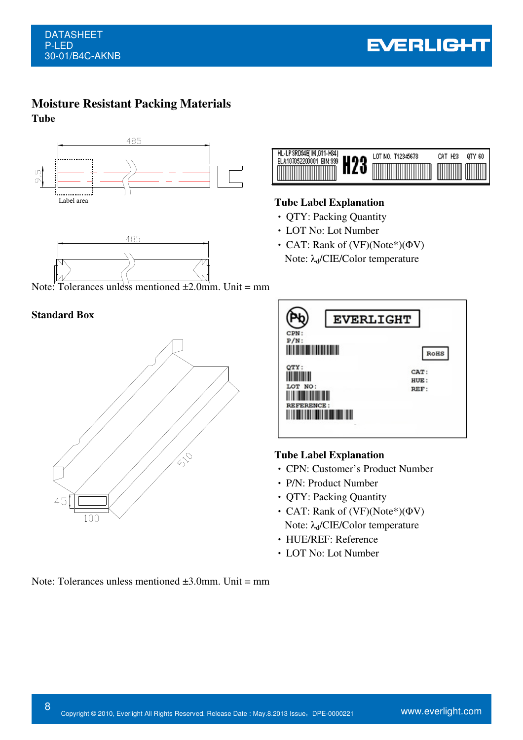# **Moisture Resistant Packing Materials**

**Tube** 





Note: Tolerances unless mentioned  $\pm 2.0$  mm. Unit = mm

#### **Standard Box**





#### **Tube Label Explanation**

- ‧ QTY: Packing Quantity
- ‧ LOT No: Lot Number
- CAT: Rank of (VF)(Note\*)(ΦV) Note:  $λ_d$ /CIE/Color temperature

| <b>EVERLIGHT</b><br>CPN:<br>$P/N$ :  | <b>RoHS</b>          |
|--------------------------------------|----------------------|
| QTY:<br>LOT NO:<br><b>REFERENCE:</b> | CAT:<br>HUE:<br>REF: |

#### **Tube Label Explanation**

- ‧ CPN: Customer's Product Number
- ‧ P/N: Product Number
- ‧ QTY: Packing Quantity
- ‧ CAT: Rank of (VF)(Note\*)(ΦV) Note:  $λ_d$ /CIE/Color temperature
- ‧ HUE/REF: Reference
- ‧ LOT No: Lot Number

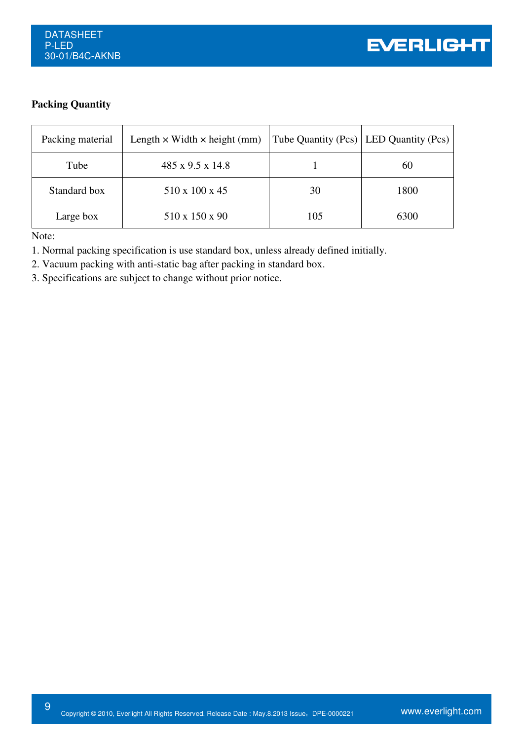#### **Packing Quantity**

| Packing material | Length $\times$ Width $\times$ height (mm) |     | Tube Quantity (Pcs)   LED Quantity (Pcs) |
|------------------|--------------------------------------------|-----|------------------------------------------|
| Tube             | $485 \times 9.5 \times 14.8$               |     | 60                                       |
| Standard box     | 510 x 100 x 45                             | 30  | 1800                                     |
| Large box        | 510 x 150 x 90                             | 105 | 6300                                     |

Note:

9

1. Normal packing specification is use standard box, unless already defined initially.

- 2. Vacuum packing with anti-static bag after packing in standard box.
- 3. Specifications are subject to change without prior notice.

Ver.: Release Date: Confidential Level: 狀態: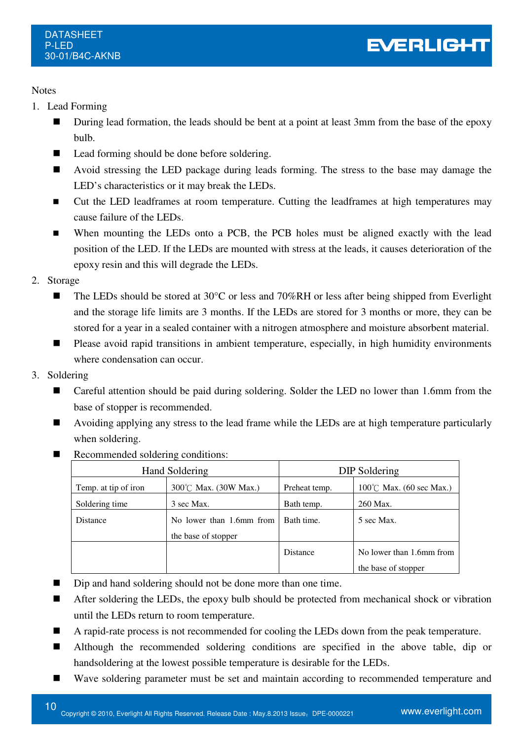#### **Notes**

- 1. Lead Forming
	- During lead formation, the leads should be bent at a point at least 3mm from the base of the epoxy bulb.
	- Lead forming should be done before soldering.
	- Avoid stressing the LED package during leads forming. The stress to the base may damage the LED's characteristics or it may break the LEDs.
	- Cut the LED leadframes at room temperature. Cutting the leadframes at high temperatures may cause failure of the LEDs.
	- When mounting the LEDs onto a PCB, the PCB holes must be aligned exactly with the lead position of the LED. If the LEDs are mounted with stress at the leads, it causes deterioration of the epoxy resin and this will degrade the LEDs.
- 2. Storage
	- The LEDs should be stored at 30°C or less and 70%RH or less after being shipped from Everlight and the storage life limits are 3 months. If the LEDs are stored for 3 months or more, they can be stored for a year in a sealed container with a nitrogen atmosphere and moisture absorbent material.
	- **Please avoid rapid transitions in ambient temperature, especially, in high humidity environments** where condensation can occur.
- 3. Soldering
	- Careful attention should be paid during soldering. Solder the LED no lower than 1.6mm from the base of stopper is recommended.
	- Avoiding applying any stress to the lead frame while the LEDs are at high temperature particularly when soldering.

| Recommended soldering conditions: |  |
|-----------------------------------|--|
|                                   |  |

| Hand Soldering       |                          | DIP Soldering   |                                    |
|----------------------|--------------------------|-----------------|------------------------------------|
| Temp. at tip of iron | 300°C Max. (30W Max.)    | Preheat temp.   | $100^{\circ}$ C Max. (60 sec Max.) |
| Soldering time       | 3 sec Max.               | Bath temp.      | 260 Max.                           |
| Distance             | No lower than 1.6mm from | Bath time.      | 5 sec Max.                         |
|                      | the base of stopper      |                 |                                    |
|                      |                          | <b>Distance</b> | No lower than 1.6mm from           |
|                      |                          |                 | the base of stopper                |

- Dip and hand soldering should not be done more than one time.
- After soldering the LEDs, the epoxy bulb should be protected from mechanical shock or vibration until the LEDs return to room temperature.
- A rapid-rate process is not recommended for cooling the LEDs down from the peak temperature.
- Although the recommended soldering conditions are specified in the above table, dip or handsoldering at the lowest possible temperature is desirable for the LEDs.
- Wave soldering parameter must be set and maintain according to recommended temperature and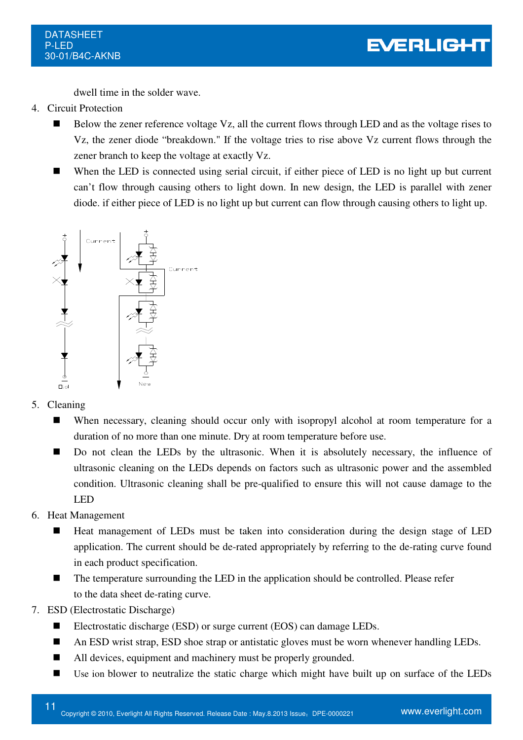dwell time in the solder wave.

- 4. Circuit Protection
	- Below the zener reference voltage Vz, all the current flows through LED and as the voltage rises to Vz, the zener diode "breakdown." If the voltage tries to rise above Vz current flows through the zener branch to keep the voltage at exactly Vz.
	- When the LED is connected using serial circuit, if either piece of LED is no light up but current can't flow through causing others to light down. In new design, the LED is parallel with zener diode. if either piece of LED is no light up but current can flow through causing others to light up.



- 5. Cleaning
	- When necessary, cleaning should occur only with isopropyl alcohol at room temperature for a duration of no more than one minute. Dry at room temperature before use.
	- Do not clean the LEDs by the ultrasonic. When it is absolutely necessary, the influence of ultrasonic cleaning on the LEDs depends on factors such as ultrasonic power and the assembled condition. Ultrasonic cleaning shall be pre-qualified to ensure this will not cause damage to the LED
- 6. Heat Management
	- Heat management of LEDs must be taken into consideration during the design stage of LED application. The current should be de-rated appropriately by referring to the de-rating curve found in each product specification.
	- The temperature surrounding the LED in the application should be controlled. Please refer to the data sheet de-rating curve.
- 7. ESD (Electrostatic Discharge)
	- Electrostatic discharge (ESD) or surge current (EOS) can damage LEDs.
	- An ESD wrist strap, ESD shoe strap or antistatic gloves must be worn whenever handling LEDs.
	- All devices, equipment and machinery must be properly grounded.
	- Use ion blower to neutralize the static charge which might have built up on surface of the LEDs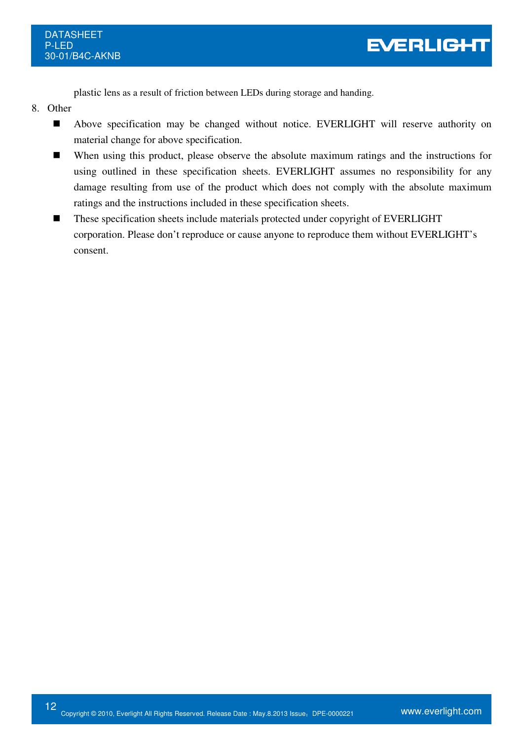plastic lens as a result of friction between LEDs during storage and handing.

- 8. Other
	- Above specification may be changed without notice. EVERLIGHT will reserve authority on material change for above specification.
	- When using this product, please observe the absolute maximum ratings and the instructions for using outlined in these specification sheets. EVERLIGHT assumes no responsibility for any damage resulting from use of the product which does not comply with the absolute maximum ratings and the instructions included in these specification sheets.
	- These specification sheets include materials protected under copyright of EVERLIGHT corporation. Please don't reproduce or cause anyone to reproduce them without EVERLIGHT's consent.

EVERLIGHT

![](_page_11_Picture_7.jpeg)